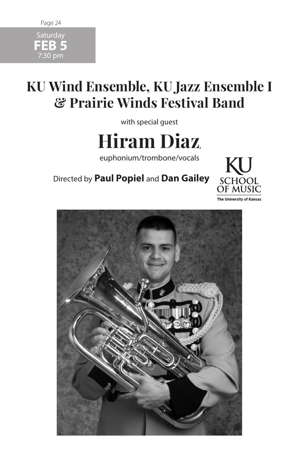# Page 24 **Saturday**

**FEB 5** 7:30 pm

# **KU Wind Ensemble, KU Jazz Ensemble I & Prairie Winds Festival Band**

with special guest

**Hiram Diaz**,

euphonium/trombone/vocals

Directed by **Paul Popiel** and **Dan Gailey**



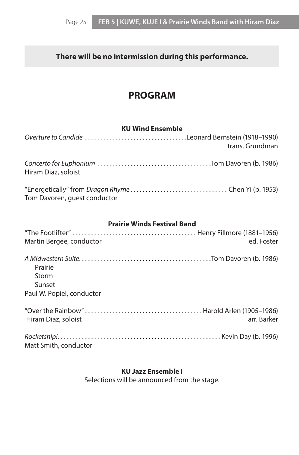# **There will be no intermission during this performance.**

# **PROGRAM**

## **KU Wind Ensemble**

| Overture to Candide Leonard Bernstein (1918-1990)<br>trans. Grundman |
|----------------------------------------------------------------------|
| Hiram Diaz, soloist                                                  |
| Tom Davoren, guest conductor                                         |
| <b>Prairie Winds Festival Band</b>                                   |
|                                                                      |
| ed. Foster<br>Martin Bergee, conductor                               |
| Prairie<br>Storm<br>Sunset                                           |
| Paul W. Popiel, conductor                                            |
| Hiram Diaz, soloist<br>arr. Barker                                   |
| Matt Smith, conductor                                                |

# **KU Jazz Ensemble I**

Selections will be announced from the stage.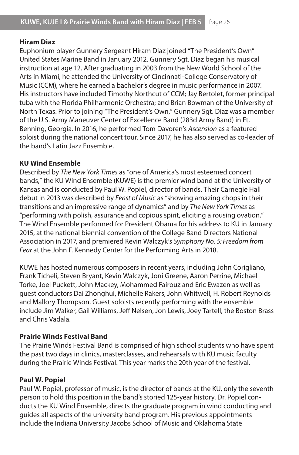#### **Hiram Diaz**

Euphonium player Gunnery Sergeant Hiram Diaz joined "The President's Own" United States Marine Band in January 2012. Gunnery Sgt. Diaz began his musical instruction at age 12. After graduating in 2003 from the New World School of the Arts in Miami, he attended the University of Cincinnati-College Conservatory of Music (CCM), where he earned a bachelor's degree in music performance in 2007. His instructors have included Timothy Northcut of CCM; Jay Bertolet, former principal tuba with the Florida Philharmonic Orchestra; and Brian Bowman of the University of North Texas. Prior to joining "The President's Own," Gunnery Sgt. Diaz was a member of the U.S. Army Maneuver Center of Excellence Band (283d Army Band) in Ft. Benning, Georgia. In 2016, he performed Tom Davoren's *Ascension* as a featured soloist during the national concert tour. Since 2017, he has also served as co-leader of the band's Latin Jazz Ensemble.

#### **KU Wind Ensemble**

Described by *The New York Times* as "one of America's most esteemed concert bands," the KU Wind Ensemble (KUWE) is the premier wind band at the University of Kansas and is conducted by Paul W. Popiel, director of bands. Their Carnegie Hall debut in 2013 was described by *Feast of Music* as "showing amazing chops in their transitions and an impressive range of dynamics" and by *The New York Times* as "performing with polish, assurance and copious spirit, eliciting a rousing ovation." The Wind Ensemble performed for President Obama for his address to KU in January 2015, at the national biennial convention of the College Band Directors National Association in 2017, and premiered Kevin Walczyk's *Symphony No. 5: Freedom from Fear* at the John F. Kennedy Center for the Performing Arts in 2018.

KUWE has hosted numerous composers in recent years, including John Corigliano, Frank Ticheli, Steven Bryant, Kevin Walczyk, Joni Greene, Aaron Perrine, Michael Torke, Joel Puckett, John Mackey, Mohammed Fairouz and Eric Ewazen as well as guest conductors Dai Zhonghui, Michelle Rakers, John Whitwell, H. Robert Reynolds and Mallory Thompson. Guest soloists recently performing with the ensemble include Jim Walker, Gail Williams, Jeff Nelsen, Jon Lewis, Joey Tartell, the Boston Brass and Chris Vadala.

## **Prairie Winds Festival Band**

The Prairie Winds Festival Band is comprised of high school students who have spent the past two days in clinics, masterclasses, and rehearsals with KU music faculty during the Prairie Winds Festival. This year marks the 20th year of the festival.

## **Paul W. Popiel**

Paul W. Popiel, professor of music, is the director of bands at the KU, only the seventh person to hold this position in the band's storied 125-year history. Dr. Popiel conducts the KU Wind Ensemble, directs the graduate program in wind conducting and guides all aspects of the university band program. His previous appointments include the Indiana University Jacobs School of Music and Oklahoma State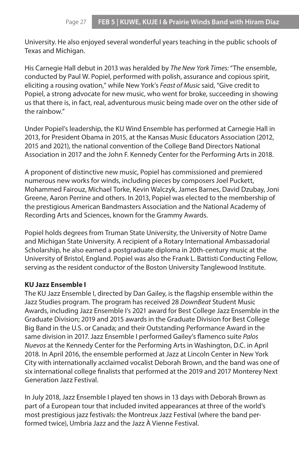University. He also enjoyed several wonderful years teaching in the public schools of Texas and Michigan.

His Carnegie Hall debut in 2013 was heralded by *The New York Times:* "The ensemble, conducted by Paul W. Popiel, performed with polish, assurance and copious spirit, eliciting a rousing ovation," while New York's *Feast of Music* said, "Give credit to Popiel, a strong advocate for new music, who went for broke, succeeding in showing us that there is, in fact, real, adventurous music being made over on the other side of the rainbow."

Under Popiel's leadership, the KU Wind Ensemble has performed at Carnegie Hall in 2013, for President Obama in 2015, at the Kansas Music Educators Association (2012, 2015 and 2021), the national convention of the College Band Directors National Association in 2017 and the John F. Kennedy Center for the Performing Arts in 2018.

A proponent of distinctive new music, Popiel has commissioned and premiered numerous new works for winds, including pieces by composers Joel Puckett, Mohammed Fairouz, Michael Torke, Kevin Walczyk, James Barnes, David Dzubay, Joni Greene, Aaron Perrine and others. In 2013, Popiel was elected to the membership of the prestigious American Bandmasters Association and the National Academy of Recording Arts and Sciences, known for the Grammy Awards.

Popiel holds degrees from Truman State University, the University of Notre Dame and Michigan State University. A recipient of a Rotary International Ambassadorial Scholarship, he also earned a postgraduate diploma in 20th-century music at the University of Bristol, England. Popiel was also the Frank L. Battisti Conducting Fellow, serving as the resident conductor of the Boston University Tanglewood Institute.

#### **KU Jazz Ensemble I**

The KU Jazz Ensemble I, directed by Dan Gailey, is the flagship ensemble within the Jazz Studies program. The program has received 28 *DownBeat* Student Music Awards, including Jazz Ensemble I's 2021 award for Best College Jazz Ensemble in the Graduate Division; 2019 and 2015 awards in the Graduate Division for Best College Big Band in the U.S. or Canada; and their Outstanding Performance Award in the same division in 2017. Jazz Ensemble I performed Gailey's flamenco suite *Palos Nuevos* at the Kennedy Center for the Performing Arts in Washington, D.C. in April 2018. In April 2016, the ensemble performed at Jazz at Lincoln Center in New York City with internationally acclaimed vocalist Deborah Brown, and the band was one of six international college finalists that performed at the 2019 and 2017 Monterey Next Generation Jazz Festival.

In July 2018, Jazz Ensemble I played ten shows in 13 days with Deborah Brown as part of a European tour that included invited appearances at three of the world's most prestigious jazz festivals: the Montreux Jazz Festival (where the band performed twice), Umbria Jazz and the Jazz À Vienne Festival.